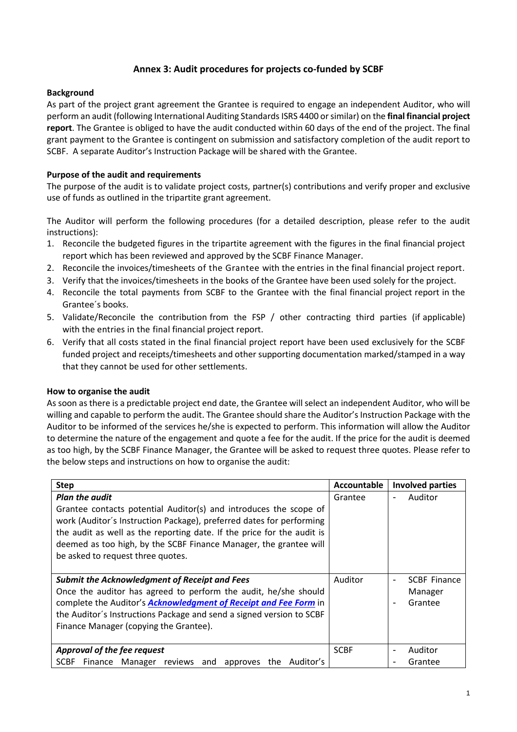## **Annex 3: Audit procedures for projects co-funded by SCBF**

## **Background**

As part of the project grant agreement the Grantee is required to engage an independent Auditor, who will perform an audit (following International Auditing Standards ISRS 4400 or similar) on the **final financial project report**. The Grantee is obliged to have the audit conducted within 60 days of the end of the project. The final grant payment to the Grantee is contingent on submission and satisfactory completion of the audit report to SCBF. A separate Auditor's Instruction Package will be shared with the Grantee.

## **Purpose of the audit and requirements**

The purpose of the audit is to validate project costs, partner(s) contributions and verify proper and exclusive use of funds as outlined in the tripartite grant agreement.

The Auditor will perform the following procedures (for a detailed description, please refer to the audit instructions):

- 1. Reconcile the budgeted figures in the tripartite agreement with the figures in the final financial project report which has been reviewed and approved by the SCBF Finance Manager.
- 2. Reconcile the invoices/timesheets of the Grantee with the entries in the final financial project report.
- 3. Verify that the invoices/timesheets in the books of the Grantee have been used solely for the project.
- 4. Reconcile the total payments from SCBF to the Grantee with the final financial project report in the Grantee´s books.
- 5. Validate/Reconcile the contribution from the FSP / other contracting third parties (if applicable) with the entries in the final financial project report.
- 6. Verify that all costs stated in the final financial project report have been used exclusively for the SCBF funded project and receipts/timesheets and other supporting documentation marked/stamped in a way that they cannot be used for other settlements.

## **How to organise the audit**

As soon as there is a predictable project end date, the Grantee will select an independent Auditor, who will be willing and capable to perform the audit. The Grantee should share the Auditor's Instruction Package with the Auditor to be informed of the services he/she is expected to perform. This information will allow the Auditor to determine the nature of the engagement and quote a fee for the audit. If the price for the audit is deemed as too high, by the SCBF Finance Manager, the Grantee will be asked to request three quotes. Please refer to the below steps and instructions on how to organise the audit:

| <b>Step</b>                                                                                                                                                                                                                                                                                                                                            | Accountable | <b>Involved parties</b>                                                                 |  |
|--------------------------------------------------------------------------------------------------------------------------------------------------------------------------------------------------------------------------------------------------------------------------------------------------------------------------------------------------------|-------------|-----------------------------------------------------------------------------------------|--|
| <b>Plan the audit</b><br>Grantee contacts potential Auditor(s) and introduces the scope of<br>work (Auditor's Instruction Package), preferred dates for performing<br>the audit as well as the reporting date. If the price for the audit is<br>deemed as too high, by the SCBF Finance Manager, the grantee will<br>be asked to request three quotes. | Grantee     | Auditor<br>$\overline{\phantom{a}}$                                                     |  |
| <b>Submit the Acknowledgment of Receipt and Fees</b><br>Once the auditor has agreed to perform the audit, he/she should<br>complete the Auditor's <b>Acknowledgment of Receipt and Fee Form</b> in<br>the Auditor's Instructions Package and send a signed version to SCBF<br>Finance Manager (copying the Grantee).                                   | Auditor     | <b>SCBF Finance</b><br>$\overline{\phantom{a}}$<br>Manager<br>Grantee<br>$\blacksquare$ |  |
| Approval of the fee request<br>SCBF Finance Manager reviews and approves the Auditor's                                                                                                                                                                                                                                                                 | <b>SCBF</b> | Auditor<br>$\overline{\phantom{a}}$<br>Grantee<br>۰                                     |  |